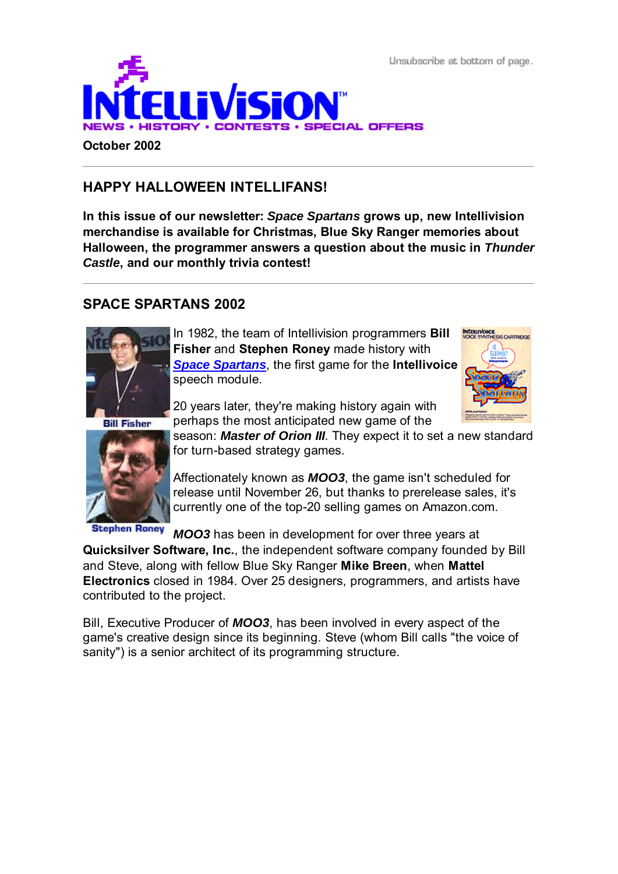Unsubscribe at bottom of page.



## **HAPPY HALLOWEEN INTELLIFANS!**

**In this issue of our newsletter:** *Space Spartans* **grows up, new Intellivision merchandise is available for Christmas, Blue Sky Ranger memories about Halloween, the programmer answers a question about the music in** *Thunder Castle***, and our monthly trivia contest!**

### **SPACE SPARTANS 2002**



In 1982, the team of Intellivision programmers **Bill Fisher** and **Stephen Roney** made history with *Space Spartans*, the first game for the **Intellivoice** speech module.

**Bill Fisher** 



**Stephen Roney** 

20 years later, they're making history again with perhaps the most anticipated new game of the

season: *Master of Orion III*. They expect it to set a new standard for turn-based strategy games.

Affectionately known as *MOO3*, the game isn't scheduled for release until November 26, but thanks to prerelease sales, it's currently one of the top-20 selling games on Amazon.com.

*MOO3* has been in development for over three years at

**Quicksilver Software, Inc.**, the independent software company founded by Bill and Steve, along with fellow Blue Sky Ranger **Mike Breen**, when **Mattel Electronics** closed in 1984. Over 25 designers, programmers, and artists have contributed to the project.

Bill, Executive Producer of *MOO3*, has been involved in every aspect of the game's creative design since its beginning. Steve (whom Bill calls "the voice of sanity") is a senior architect of its programming structure.

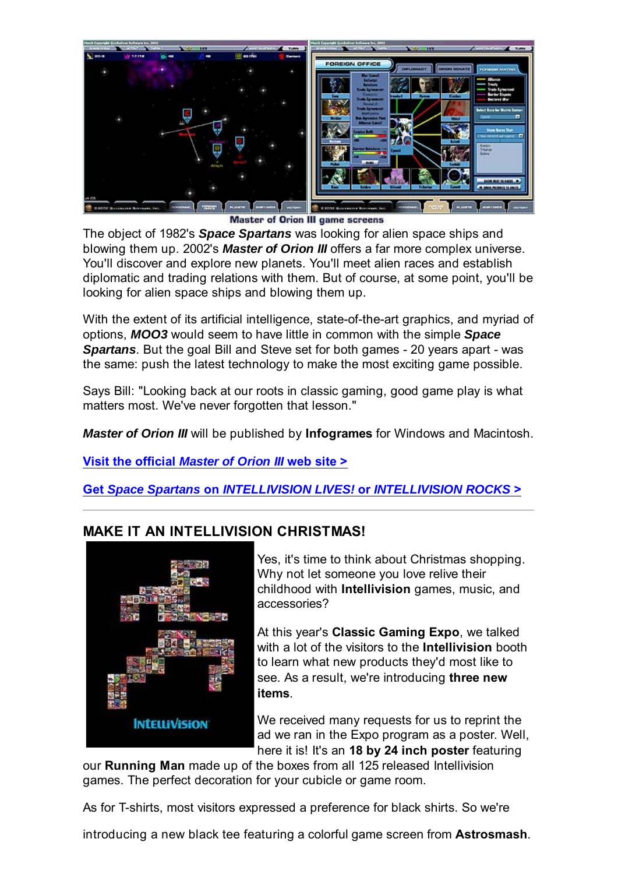

Master of Orion III game screens

The object of 1982's *Space Spartans* was looking for alien space ships and blowing them up. 2002's *Master of Orion III* offers a far more complex universe. You'll discover and explore new planets. You'll meet alien races and establish diplomatic and trading relations with them. But of course, at some point, you'll be looking for alien space ships and blowing them up.

With the extent of its artificial intelligence, state-of-the-art graphics, and myriad of options, *MOO3* would seem to have little in common with the simple *Space Spartans*. But the goal Bill and Steve set for both games - 20 years apart - was the same: push the latest technology to make the most exciting game possible.

Says Bill: "Looking back at our roots in classic gaming, good game play is what matters most. We've never forgotten that lesson."

*Master of Orion III* will be published by **Infogrames** for Windows and Macintosh.

**Visit the official** *Master of Orion III* **web site >**

**Get** *Space Spartans* **on** *INTELLIVISION LIVES!* **or** *INTELLIVISION ROCKS* **>**

# **MAKE IT AN INTELLIVISION CHRISTMAS!**



Yes, it's time to think about Christmas shopping. Why not let someone you love relive their childhood with **Intellivision** games, music, and accessories?

At this year's **Classic Gaming Expo**, we talked with a lot of the visitors to the **Intellivision** booth to learn what new products they'd most like to see. As a result, we're introducing **three new items**.

We received many requests for us to reprint the ad we ran in the Expo program as a poster. Well, here it is! It's an **18 by 24 inch poster** featuring

our **Running Man** made up of the boxes from all 125 released Intellivision games. The perfect decoration for your cubicle or game room.

As for T-shirts, most visitors expressed a preference for black shirts. So we're

introducing a new black tee featuring a colorful game screen from **Astrosmash**.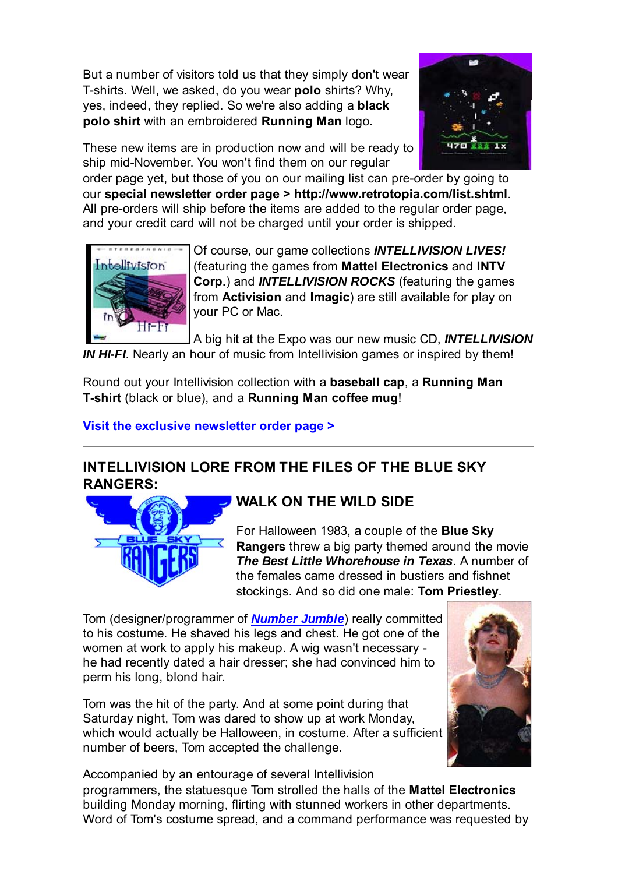But a number of visitors told us that they simply don't wear T-shirts. Well, we asked, do you wear **polo** shirts? Why, yes, indeed, they replied. So we're also adding a **black polo shirt** with an embroidered **Running Man** logo.



These new items are in production now and will be ready to ship mid-November. You won't find them on our regular

order page yet, but those of you on our mailing list can pre-order by going to our **special newsletter order page > http://www.retrotopia.com/list.shtml**. All pre-orders will ship before the items are added to the regular order page, and your credit card will not be charged until your order is shipped.



Of course, our game collections *INTELLIVISION LIVES!* (featuring the games from **Mattel Electronics** and **INTV Corp.**) and *INTELLIVISION ROCKS* (featuring the games from **Activision** and **Imagic**) are still available for play on your PC or Mac.

A big hit at the Expo was our new music CD, *INTELLIVISION*

*IN HI-FI*. Nearly an hour of music from Intellivision games or inspired by them!

Round out your Intellivision collection with a **baseball cap**, a **Running Man T-shirt** (black or blue), and a **Running Man coffee mug**!

**Visit the exclusive newsletter order page >**

## **INTELLIVISION LORE FROM THE FILES OF THE BLUE SKY RANGERS:**



### **WALK ON THE WILD SIDE**

For Halloween 1983, a couple of the **Blue Sky Rangers** threw a big party themed around the movie *The Best Little Whorehouse in Texas*. A number of the females came dressed in bustiers and fishnet stockings. And so did one male: **Tom Priestley**.

Tom (designer/programmer of *Number Jumble*) really committed to his costume. He shaved his legs and chest. He got one of the women at work to apply his makeup. A wig wasn't necessary he had recently dated a hair dresser; she had convinced him to perm his long, blond hair.

Tom was the hit of the party. And at some point during that Saturday night, Tom was dared to show up at work Monday, which would actually be Halloween, in costume. After a sufficient number of beers, Tom accepted the challenge.



Accompanied by an entourage of several Intellivision programmers, the statuesque Tom strolled the halls of the **Mattel Electronics** building Monday morning, flirting with stunned workers in other departments. Word of Tom's costume spread, and a command performance was requested by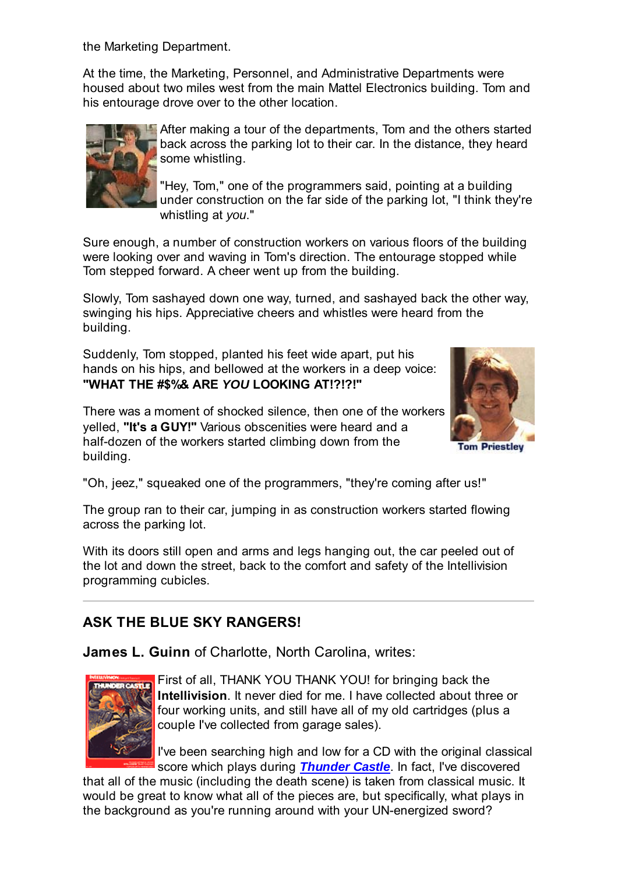the Marketing Department.

At the time, the Marketing, Personnel, and Administrative Departments were housed about two miles west from the main Mattel Electronics building. Tom and his entourage drove over to the other location.



After making a tour of the departments, Tom and the others started back across the parking lot to their car. In the distance, they heard some whistling.

"Hey, Tom," one of the programmers said, pointing at a building under construction on the far side of the parking lot, "I think they're whistling at *you*."

Sure enough, a number of construction workers on various floors of the building were looking over and waving in Tom's direction. The entourage stopped while Tom stepped forward. A cheer went up from the building.

Slowly, Tom sashayed down one way, turned, and sashayed back the other way, swinging his hips. Appreciative cheers and whistles were heard from the building.

Suddenly, Tom stopped, planted his feet wide apart, put his hands on his hips, and bellowed at the workers in a deep voice: **"WHAT THE #\$%& ARE** *YOU* **LOOKING AT!?!?!"**

There was a moment of shocked silence, then one of the workers yelled, **"It's a GUY!"** Various obscenities were heard and a half-dozen of the workers started climbing down from the building.



**Tom Priestley** 

"Oh, jeez," squeaked one of the programmers, "they're coming after us!"

The group ran to their car, jumping in as construction workers started flowing across the parking lot.

With its doors still open and arms and legs hanging out, the car peeled out of the lot and down the street, back to the comfort and safety of the Intellivision programming cubicles.

#### **ASK THE BLUE SKY RANGERS!**

**James L. Guinn** of Charlotte, North Carolina, writes:



First of all, THANK YOU THANK YOU! for bringing back the **Intellivision**. It never died for me. I have collected about three or four working units, and still have all of my old cartridges (plus a couple I've collected from garage sales).

I've been searching high and low for a CD with the original classical score which plays during *Thunder Castle*. In fact, I've discovered

that all of the music (including the death scene) is taken from classical music. It would be great to know what all of the pieces are, but specifically, what plays in the background as you're running around with your UN-energized sword?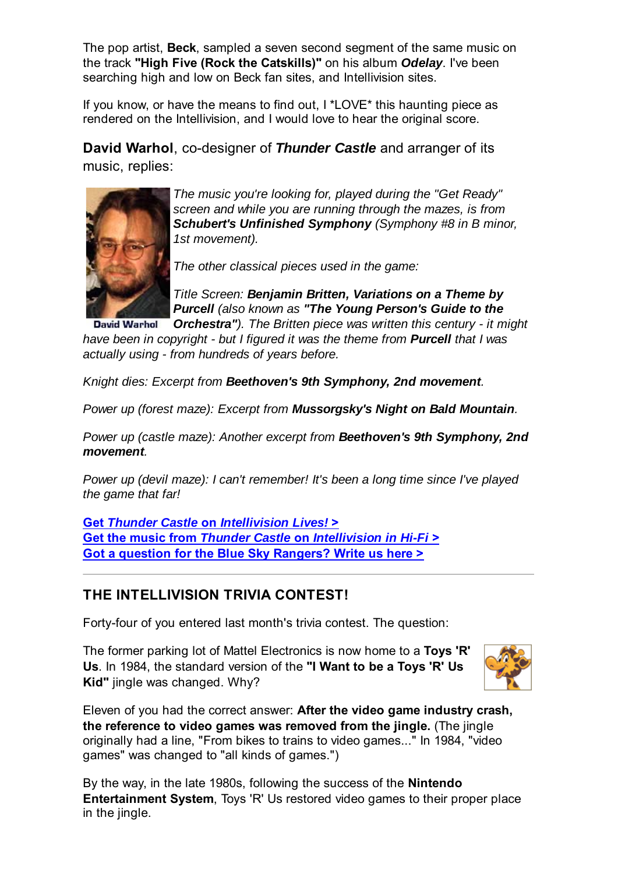The pop artist, **Beck**, sampled a seven second segment of the same music on the track **"High Five (Rock the Catskills)"** on his album *Odelay*. I've been searching high and low on Beck fan sites, and Intellivision sites.

If you know, or have the means to find out, I \*LOVE\* this haunting piece as rendered on the Intellivision, and I would love to hear the original score.

**David Warhol**, co-designer of *Thunder Castle* and arranger of its music, replies:



*The music you're looking for, played during the "Get Ready" screen and while you are running through the mazes, is from Schubert's Unfinished Symphony (Symphony #8 in B minor, 1st movement).*

*The other classical pieces used in the game:*

*Title Screen: Benjamin Britten, Variations on a Theme by Purcell (also known as "The Young Person's Guide to the*

*Orchestra"). The Britten piece was written this century - it might* **David Warhol** *have been in copyright - but I figured it was the theme from Purcell that I was actually using - from hundreds of years before.*

*Knight dies: Excerpt from Beethoven's 9th Symphony, 2nd movement.*

*Power up (forest maze): Excerpt from Mussorgsky's Night on Bald Mountain.*

*Power up (castle maze): Another excerpt from Beethoven's 9th Symphony, 2nd movement.*

*Power up (devil maze): I can't remember! It's been a long time since I've played the game that far!*

**Get** *Thunder Castle* **on** *Intellivision Lives!* **> Get the music from** *Thunder Castle* **on** *Intellivision in Hi-Fi* **> Got a question for the Blue Sky Rangers? Write us here >**

### **THE INTELLIVISION TRIVIA CONTEST!**

Forty-four of you entered last month's trivia contest. The question:

The former parking lot of Mattel Electronics is now home to a **Toys 'R' Us**. In 1984, the standard version of the **"I Want to be a Toys 'R' Us Kid"** jingle was changed. Why?



Eleven of you had the correct answer: **After the video game industry crash, the reference to video games was removed from the jingle.** (The jingle originally had a line, "From bikes to trains to video games..." In 1984, "video games" was changed to "all kinds of games.")

By the way, in the late 1980s, following the success of the **Nintendo Entertainment System**, Toys 'R' Us restored video games to their proper place in the jingle.